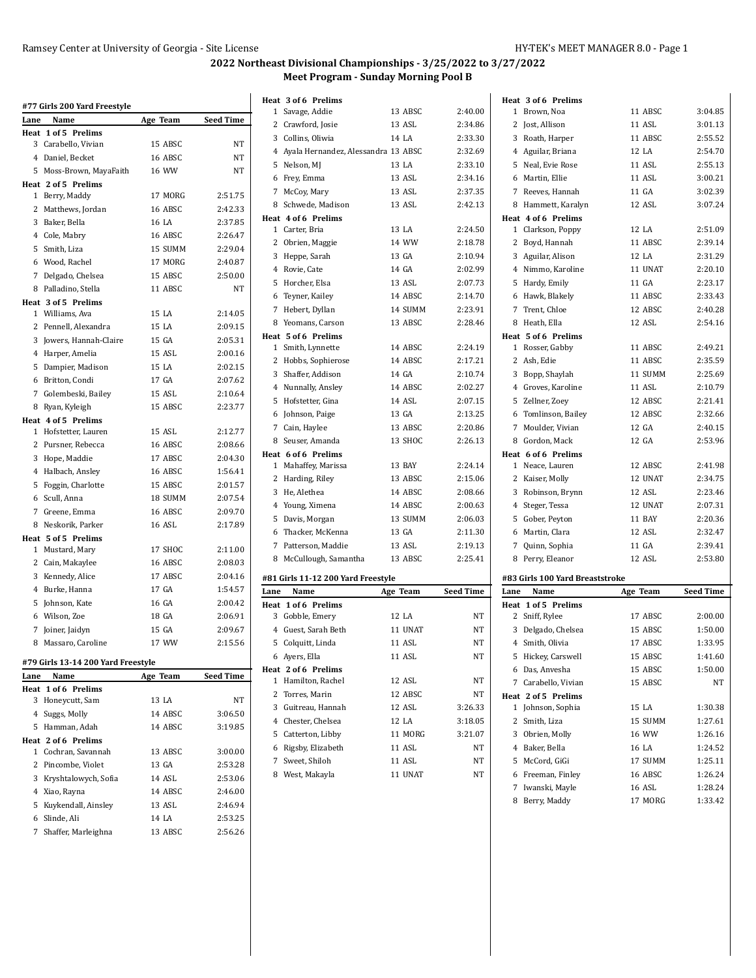|                | #77 Girls 200 Yard Freestyle       |          |                  |
|----------------|------------------------------------|----------|------------------|
| Lane           | Name                               | Age Team | <b>Seed Time</b> |
| Heat           | 1 of 5 Prelims                     |          |                  |
|                | 3 Carabello, Vivian                | 15 ABSC  | NT               |
|                | 4 Daniel, Becket                   | 16 ABSC  | NT               |
| 5              | Moss-Brown, MayaFaith              | 16 WW    | NT               |
|                | Heat 2 of 5 Prelims                |          |                  |
|                | 1 Berry, Maddy                     | 17 MORG  | 2:51.75          |
|                | 2 Matthews, Jordan                 | 16 ABSC  | 2:42.33          |
|                | 3 Baker, Bella                     | 16 LA    | 2:37.85          |
|                | 4 Cole, Mabry                      | 16 ABSC  | 2:26.47          |
| 5              | Smith, Liza                        | 15 SUMM  | 2:29.04          |
|                | 6 Wood, Rachel                     | 17 MORG  | 2:40.87          |
|                | 7 Delgado, Chelsea                 | 15 ABSC  | 2:50.00          |
|                | 8 Palladino, Stella                | 11 ABSC  | NT               |
|                | Heat 3 of 5 Prelims                |          |                  |
|                | 1 Williams, Ava                    | 15 LA    | 2:14.05          |
|                | 2 Pennell, Alexandra               | 15 LA    | 2:09.15          |
|                | 3 Jowers, Hannah-Claire            | 15 GA    | 2:05.31          |
|                | 4 Harper, Amelia                   | 15 ASL   | 2:00.16          |
| 5              | Dampier, Madison                   | 15 LA    | 2:02.15          |
|                | 6 Britton, Condi                   | 17 GA    | 2:07.62          |
|                | 7 Golembeski, Bailey               | 15 ASL   | 2:10.64          |
|                | 8 Ryan, Kyleigh                    | 15 ABSC  | 2:23.77          |
|                | Heat 4 of 5 Prelims                |          |                  |
| 1              | Hofstetter, Lauren                 | 15 ASL   | 2:12.77          |
|                | 2 Pursner, Rebecca                 | 16 ABSC  | 2:08.66          |
|                | 3 Hope, Maddie                     | 17 ABSC  | 2:04.30          |
|                | 4 Halbach, Ansley                  | 16 ABSC  | 1:56.41          |
| 5              | Foggin, Charlotte                  | 15 ABSC  | 2:01.57          |
|                | 6 Scull, Anna                      | 18 SUMM  | 2:07.54          |
|                | 7 Greene, Emma                     | 16 ABSC  | 2:09.70          |
|                | 8 Neskorik, Parker                 | 16 ASL   | 2:17.89          |
|                | Heat 5 of 5 Prelims                |          |                  |
|                | 1 Mustard, Mary                    | 17 SHOC  | 2:11.00          |
| $\overline{c}$ | Cain, Makaylee                     | 16 ABSC  | 2:08.03          |
|                | 3 Kennedy, Alice                   | 17 ABSC  | 2:04.16          |
|                | 4 Burke, Hanna                     | 17 GA    | 1:54.57          |
| 5              | Johnson, Kate                      | 16 GA    | 2:00.42          |
|                | 6 Wilson, Zoe                      | 18 GA    | 2:06.91          |
| 7              | Joiner, Jaidyn                     | 15 GA    | 2:09.67          |
| 8              | Massaro, Caroline                  | 17 WW    | 2:15.56          |
|                | #79 Girls 13-14 200 Yard Freestyle |          |                  |
| Lane           | Name                               | Age Team | <b>Seed Time</b> |
|                | <b>Heat 1 of 6 Prelims</b>         |          |                  |
| 3              | Honeycutt, Sam                     | 13 LA    | NT               |
|                |                                    |          |                  |

|  | 3 Honeycutt, Sam       | 13 LA   | NT      |
|--|------------------------|---------|---------|
|  | 4 Suggs, Molly         | 14 ABSC | 3:06.50 |
|  | 5 Hamman, Adah         | 14 ABSC | 3:19.85 |
|  | Heat 2 of 6 Prelims    |         |         |
|  | 1 Cochran, Savannah    | 13 ABSC | 3:00.00 |
|  | 2 Pincombe, Violet     | 13 GA   | 2:53.28 |
|  | 3 Kryshtalowych, Sofia | 14 ASL  | 2:53.06 |
|  | 4 Xiao, Rayna          | 14 ABSC | 2:46.00 |
|  | 5 Kuykendall, Ainsley  | 13 ASL  | 2:46.94 |
|  | 6 Slinde, Ali          | 14 LA   | 2:53.25 |
|  | 7 Shaffer, Marleighna  | 13 ABSC | 2:56.26 |
|  |                        |         |         |

|              | Heat 3 of 6 Prelims                   |          |                  |
|--------------|---------------------------------------|----------|------------------|
| 1            | Savage, Addie                         | 13 ABSC  | 2:40.00          |
| 2            | Crawford, Josie                       | 13 ASL   | 2:34.86          |
|              | 3 Collins, Oliwia                     | 14 LA    | 2:33.30          |
|              | 4 Ayala Hernandez, Alessandra 13 ABSC |          | 2:32.69          |
|              | 5 Nelson, MJ                          | 13 LA    | 2:33.10          |
|              | 6 Frey, Emma                          | 13 ASL   | 2:34.16          |
| 7            | McCoy, Mary                           | 13 ASL   | 2:37.35          |
| 8            | Schwede, Madison                      | 13 ASL   | 2:42.13          |
|              | Heat 4 of 6 Prelims                   |          |                  |
| $\mathbf{1}$ | Carter, Bria                          | 13 LA    | 2:24.50          |
| 2            | Obrien, Maggie                        | 14 WW    | 2:18.78          |
| 3            | Heppe, Sarah                          | 13 GA    | 2:10.94          |
|              | 4 Rovie, Cate                         | 14 GA    | 2:02.99          |
|              | 5 Horcher, Elsa                       | 13 ASL   | 2:07.73          |
|              | 6 Teyner, Kailey                      | 14 ABSC  | 2:14.70          |
| 7            | Hebert, Dyllan                        | 14 SUMM  | 2:23.91          |
| 8            | Yeomans, Carson                       | 13 ABSC  | 2:28.46          |
|              | Heat 5 of 6 Prelims                   |          |                  |
|              | 1 Smith, Lynnette                     | 14 ABSC  | 2:24.19          |
| 2            | Hobbs, Sophierose                     | 14 ABSC  | 2:17.21          |
| 3            | Shaffer, Addison                      | 14 GA    | 2:10.74          |
|              | 4 Nunnally, Ansley                    | 14 ABSC  | 2:02.27          |
| 5            | Hofstetter, Gina                      | 14 ASL   | 2:07.15          |
| 6            | Johnson, Paige                        | 13 GA    | 2:13.25          |
| 7            | Cain, Haylee                          | 13 ABSC  | 2:20.86          |
|              | 8 Seuser, Amanda                      | 13 SHOC  | 2:26.13          |
|              | Heat 6 of 6 Prelims                   |          |                  |
| 1            | Mahaffey, Marissa                     | 13 BAY   | 2:24.14          |
| 2            | Harding, Riley                        | 13 ABSC  | 2:15.06          |
| 3            | He, Alethea                           | 14 ABSC  | 2:08.66          |
|              | 4 Young, Ximena                       | 14 ABSC  | 2:00.63          |
| 5            | Davis, Morgan                         | 13 SUMM  | 2:06.03          |
| 6            | Thacker, McKenna                      | 13 GA    | 2:11.30          |
| 7            | Patterson, Maddie                     | 13 ASL   | 2:19.13          |
| 8            | McCullough, Samantha                  | 13 ABSC  | 2:25.41          |
|              | #81 Girls 11-12 200 Yard Freestyle    |          |                  |
| Lane         | Name                                  | Age Team | <b>Seed Time</b> |
| Heat         | 1 of 6 Prelims                        |          |                  |
| 3            | Gobble, Emery                         | 12 LA    | NT               |
|              | 4 Guest, Sarah Beth                   | 11 UNAT  | NT               |
|              | 5 Colquitt, Linda                     | 11 ASL   | NT               |
|              | 6 Ayers, Ella                         | 11 ASL   | NT               |
|              | Heat 2 of 6 Prelims                   |          |                  |
| 1            | Hamilton, Rachel                      | 12 ASL   | NΤ               |
| 2            | Torres, Marin                         | 12 ABSC  | NΤ               |
| 3            | Guitreau, Hannah                      | 12 ASL   | 3:26.33          |
|              | 4 Chester, Chelsea                    | 12 LA    | 3:18.05          |
|              | 5 Catterton, Libby                    | 11 MORG  | 3:21.07          |
|              | 6 Rigsby, Elizabeth                   | 11 ASL   | NΤ               |
|              |                                       |          |                  |

8 West, Makayla 11 UNAT NT

| Heat 3 of 6 Prelims                |                   |                    |
|------------------------------------|-------------------|--------------------|
| 1 Brown, Noa                       | 11 ABSC           | 3:04.85            |
| 2 Jost, Allison                    | 11 ASL            | 3:01.13            |
| 3 Roath, Harper                    | 11 ABSC           | 2:55.52            |
| 4 Aguilar, Briana                  | 12 LA             | 2:54.70            |
| 5 Neal, Evie Rose                  | 11 ASL            | 2:55.13            |
| 6 Martin, Ellie                    | 11 ASL            | 3:00.21            |
| 7 Reeves, Hannah                   | 11 GA             | 3:02.39            |
| 8 Hammett, Karalyn                 | 12 ASL            | 3:07.24            |
| Heat 4 of 6 Prelims                |                   |                    |
| 1 Clarkson, Poppy                  | 12 LA             | 2:51.09            |
| 2 Boyd, Hannah                     | 11 ABSC           | 2:39.14            |
| 3 Aguilar, Alison                  | 12 LA             | 2:31.29            |
| 4 Nimmo, Karoline                  | 11 UNAT           | 2:20.10            |
| 5 Hardy, Emily                     | 11 GA             | 2:23.17            |
| 6 Hawk, Blakely                    | 11 ABSC           | 2:33.43            |
| 7 Trent, Chloe                     | 12 ABSC           | 2:40.28            |
| 8 Heath, Ella                      | 12 ASL            | 2:54.16            |
| Heat 5 of 6 Prelims                |                   |                    |
| 1 Rosser, Gabby                    | 11 ABSC           | 2:49.21            |
| 2 Ash, Edie                        | 11 ABSC           | 2:35.59            |
| 3 Bopp, Shaylah                    | 11 SUMM           | 2:25.69            |
| 4 Groves, Karoline                 | 11 ASL            | 2:10.79            |
| 5 Zellner, Zoey                    | 12 ABSC           | 2:21.41            |
| 6 Tomlinson, Bailey                | 12 ABSC           | 2:32.66            |
| 7 Moulder, Vivian                  | 12 GA             | 2:40.15            |
| 8 Gordon, Mack                     | 12 GA             | 2:53.96            |
|                                    |                   |                    |
| Heat 6 of 6 Prelims                |                   |                    |
| 1 Neace, Lauren                    | 12 ABSC           | 2:41.98            |
| 2 Kaiser, Molly                    | 12 UNAT           | 2:34.75            |
| 3 Robinson, Brynn                  | 12 ASL            | 2:23.46            |
| 4 Steger, Tessa                    | 12 UNAT           | 2:07.31            |
| 5 Gober, Peyton                    | 11 BAY            | 2:20.36            |
| 6 Martin, Clara                    | 12 ASL            | 2:32.47            |
| 7 Quinn, Sophia                    | 11 GA             | 2:39.41            |
| 8 Perry, Eleanor                   | 12 ASL            | 2:53.80            |
|                                    |                   |                    |
| #83 Girls 100 Yard Breaststroke    |                   |                    |
| Name<br>Lane                       | Age Team          | <b>Seed Time</b>   |
| Heat 1 of 5 Prelims                |                   |                    |
| 2 Sniff, Rylee                     | 17 ABSC           | 2:00.00            |
| 3<br>Delgado, Chelsea              | 15 ABSC           | 1:50.00            |
| 4 Smith, Olivia                    | 17 ABSC           | 1:33.95            |
| 5 Hickey, Carswell                 | 15 ABSC           | 1:41.60            |
| 6 Das, Anvesha                     | 15 ABSC           | 1:50.00            |
| 7 Carabello, Vivian                | 15 ABSC           | NT                 |
| Heat 2 of 5 Prelims                |                   |                    |
| 1 Johnson, Sophia                  | 15 LA             | 1:30.38            |
| 2 Smith, Liza                      | 15 SUMM           | 1:27.61            |
| 3 Obrien, Molly                    | 16 WW             | 1:26.16            |
| 4 Baker, Bella                     | 16 LA             | 1:24.52            |
| 5 McCord, GiGi                     | 17 SUMM           | 1:25.11            |
| 6 Freeman, Finley                  | 16 ABSC           | 1:26.24            |
| 7 Iwanski, Mayle<br>8 Berry, Maddy | 16 ASL<br>17 MORG | 1:28.24<br>1:33.42 |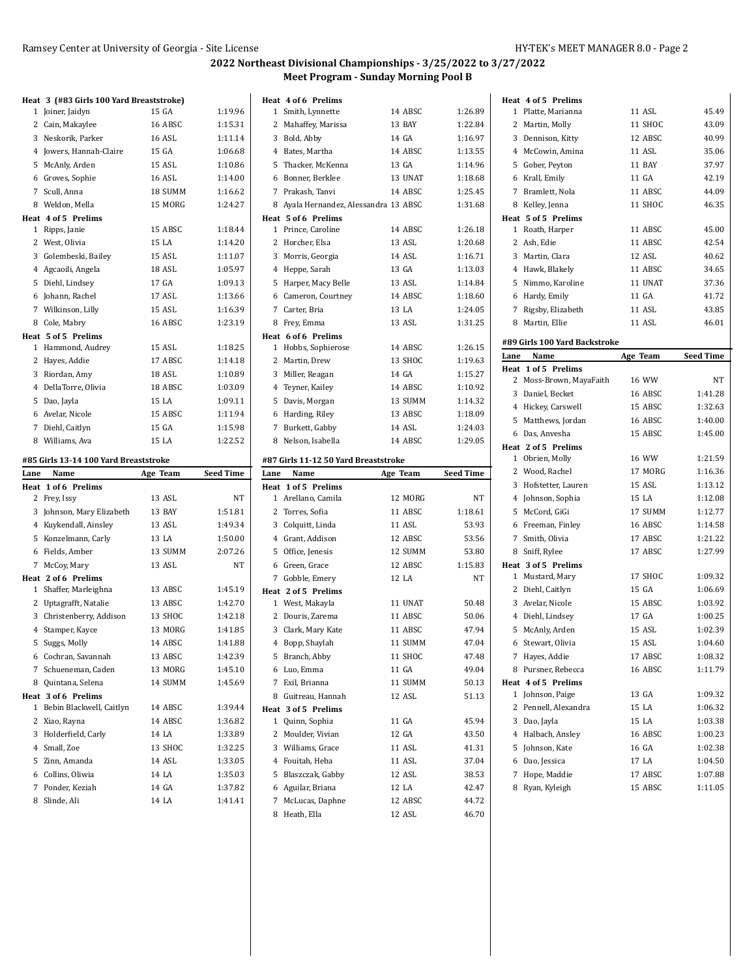|                                                              |          | 2022 IV          |
|--------------------------------------------------------------|----------|------------------|
|                                                              |          |                  |
| Heat 3 (#83 Girls 100 Yard Breaststroke)<br>1 Joiner, Jaidyn | 15 GA    | 1:19.96          |
| 2 Cain, Makaylee                                             | 16 ABSC  | 1:15.31          |
| 3 Neskorik, Parker                                           | 16 ASL   | 1:11.14          |
| 4 Jowers, Hannah-Claire                                      | 15 GA    | 1:06.68          |
| 5 McAnly, Arden                                              | 15 ASL   | 1:10.86          |
| 6 Groves, Sophie                                             | 16 ASL   | 1:14.00          |
| 7 Scull, Anna                                                | 18 SUMM  | 1:16.62          |
| 8 Weldon, Mella                                              | 15 MORG  | 1:24.27          |
| Heat 4 of 5 Prelims                                          |          |                  |
| 1 Ripps, Janie                                               | 15 ABSC  | 1:18.44          |
| 2 West, Olivia                                               | 15 LA    | 1:14.20          |
| 3 Golembeski, Bailey                                         | 15 ASL   | 1:11.07          |
| 4 Agcaoili, Angela                                           | 18 ASL   | 1:05.97          |
| 5 Diehl, Lindsey                                             | 17 GA    | 1:09.13          |
| 6 Johann, Rachel                                             | 17 ASL   | 1:13.66          |
| 7 Wilkinson, Lilly                                           | 15 ASL   | 1:16.39          |
| 8 Cole, Mabry                                                | 16 ABSC  | 1:23.19          |
| Heat 5 of 5 Prelims                                          |          |                  |
| 1 Hammond, Audrey                                            | 15 ASL   | 1:18.25          |
| 2 Hayes, Addie                                               | 17 ABSC  | 1:14.18          |
| 3 Riordan, Amy                                               | 18 ASL   | 1:10.89          |
| 4 DellaTorre, Olivia                                         | 18 ABSC  | 1:03.09          |
| 5 Dao, Jayla                                                 | 15 LA    | 1:09.11          |
| 6 Avelar, Nicole                                             | 15 ABSC  | 1:11.94          |
| 7 Diehl, Caitlyn                                             | 15 GA    | 1:15.98          |
| 8 Williams, Ava                                              | 15 LA    | 1:22.52          |
|                                                              |          |                  |
| #85 Girls 13-14 100 Yard Breaststroke<br>Lane<br>Name        | Age Team | <b>Seed Time</b> |
| Heat 1 of 6 Prelims                                          |          |                  |
| 2 Frey, Issy                                                 | 13 ASL   | NT               |
| 3 Johnson, Mary Elizabeth                                    | 13 BAY   | 1:51.81          |
| 4 Kuykendall, Ainsley                                        | 13 ASL   | 1:49.34          |
| 5 Konzelmann, Carly                                          | 13 LA    | 1:50.00          |
| 6 Fields, Amber                                              | 13 SUMM  | 2:07.26          |
| 7 McCoy, Mary                                                | 13 ASL   | NT               |
| Heat 2 of 6 Prelims                                          |          |                  |
| 1 Shaffer, Marleighna                                        | 13 ABSC  | 1:45.19          |
| 2 Uptagrafft, Natalie                                        | 13 ABSC  | 1:42.70          |
| 3 Christenberry, Addison                                     | 13 SHOC  | 1:42.18          |
| 4 Stamper, Kayce                                             | 13 MORG  | 1:41.85          |
| 5 Suggs, Molly                                               | 14 ABSC  | 1:41.88          |
| 6 Cochran, Savannah                                          | 13 ABSC  | 1:42.39          |
| 7 Schueneman, Caden                                          | 13 MORG  | 1:45.10          |
| 8 Quintana, Selena                                           | 14 SUMM  | 1:45.69          |
| Heat 3 of 6 Prelims                                          |          |                  |
| 1 Bebin Blackwell, Caitlyn                                   | 14 ABSC  | 1:39.44          |
| 2 Xiao, Rayna                                                | 14 ABSC  | 1:36.82          |
| 3 Holderfield, Carly                                         | 14 LA    | 1:33.89          |
| 4 Small, Zoe                                                 |          |                  |
|                                                              | 13 SHOC  | 1:32.25          |
| 5 Zinn, Amanda                                               | 14 ASL   | 1:33.05          |
| 6 Collins, Oliwia                                            | 14 LA    | 1:35.03          |

Slinde, Ali 14 LA 1:41.41

|        | Heat 4 of 6 Prelims                   |                   |                  |
|--------|---------------------------------------|-------------------|------------------|
|        | 1 Smith, Lynnette                     | 14 ABSC           | 1:26.89          |
|        | 2 Mahaffey, Marissa                   | 13 BAY            | 1:22.84          |
|        | 3 Bold, Abby                          | 14 GA             | 1:16.97          |
|        | 4 Bates, Martha                       | 14 ABSC           | 1:13.55          |
|        | 5 Thacker, McKenna                    | 13 GA             | 1:14.96          |
|        | 6 Bonner, Berklee                     | 13 UNAT           | 1:18.68          |
|        | 7 Prakash, Tanvi                      | 14 ABSC           | 1:25.45          |
|        | 8 Ayala Hernandez, Alessandra 13 ABSC |                   | 1:31.68          |
|        | Heat 5 of 6 Prelims                   |                   |                  |
|        | 1 Prince, Caroline                    | 14 ABSC           | 1:26.18          |
|        | 2 Horcher, Elsa                       | 13 ASL            | 1:20.68          |
|        | 3 Morris, Georgia                     | 14 ASL            | 1:16.71          |
|        | 4 Heppe, Sarah                        | 13 GA             | 1:13.03          |
|        | 5 Harper, Macy Belle                  | 13 ASL            | 1:14.84          |
|        | 6 Cameron, Courtney                   | 14 ABSC           | 1:18.60          |
|        | 7 Carter, Bria                        | 13 LA             | 1:24.05          |
|        | 8 Frey, Emma                          | 13 ASL            | 1:31.25          |
|        | Heat 6 of 6 Prelims                   |                   |                  |
|        | 1 Hobbs, Sophierose                   | 14 ABSC           | 1:26.15          |
|        | 2 Martin, Drew                        | 13 SHOC           | 1:19.63          |
|        | 3 Miller, Reagan                      | 14 GA             | 1:15.27          |
|        | 4 Teyner, Kailey                      | 14 ABSC           | 1:10.92          |
|        | 5 Davis, Morgan                       | 13 SUMM           | 1:14.32          |
|        | 6 Harding, Riley                      | 13 ABSC           | 1:18.09          |
|        | 7 Burkett, Gabby                      | 14 ASL            | 1:24.03          |
|        | 8 Nelson, Isabella                    | 14 ABSC           | 1:29.05          |
|        |                                       |                   |                  |
|        |                                       |                   |                  |
|        | #87 Girls 11-12 50 Yard Breaststroke  |                   |                  |
| Lane   | Name                                  | Age Team          | <b>Seed Time</b> |
|        | Heat 1 of 5 Prelims                   |                   |                  |
|        | 1 Arellano, Camila                    | 12 MORG           | NT               |
|        | 2 Torres, Sofia                       | 11 ABSC           | 1:18.61          |
|        | 3 Colquitt, Linda                     | 11 ASL            | 53.93            |
|        | 4 Grant, Addison                      | 12 ABSC           | 53.56            |
|        | 5 Office, Jenesis                     | 12 SUMM           | 53.80            |
|        | 6 Green, Grace                        | 12 ABSC           | 1:15.83          |
|        | 7 Gobble, Emery                       | 12 LA             | NT               |
|        | Heat 2 of 5 Prelims                   |                   |                  |
|        | 1 West, Makayla                       | 11 UNAT           | 50.48            |
|        | 2 Douris, Zarema                      | 11 ABSC           | 50.06            |
|        | 3 Clark, Mary Kate                    | 11 ABSC           | 47.94            |
|        | 4 Bopp, Shaylah                       | 11 SUMM           | 47.04            |
|        | 5 Branch, Abby                        | 11 SHOC           | 47.48            |
|        | 6 Luo, Emma                           | 11 GA             | 49.04            |
|        | 7 Exil, Brianna                       | 11 SUMM           | 50.13            |
|        | 8 Guitreau, Hannah                    | 12 ASL            | 51.13            |
|        | Heat 3 of 5 Prelims                   |                   |                  |
|        | 1 Quinn, Sophia                       | 11 GA             | 45.94            |
|        | 2 Moulder, Vivian                     | 12 GA             | 43.50            |
|        | 3 Williams, Grace                     | 11 ASL            | 41.31            |
|        | 4 Fouitah, Heba                       | 11 ASL            | 37.04            |
|        | 5 Blaszczak, Gabby                    | 12 ASL            | 38.53            |
|        | 6 Aguilar, Briana                     | 12 LA             | 42.47            |
| 7<br>8 | McLucas, Daphne<br>Heath, Ella        | 12 ABSC<br>12 ASL | 44.72<br>46.70   |

| Heat 4 of 5 Prelims                    |               |                  |
|----------------------------------------|---------------|------------------|
| 1 Platte, Marianna                     | 11 ASL        | 45.49            |
| 2 Martin, Molly                        | 11 SHOC       | 43.09            |
| 3 Dennison, Kitty                      | 12 ABSC       | 40.99            |
| 4 McCowin, Amina                       | 11 ASL        | 35.06            |
| 5 Gober, Peyton                        | <b>11 BAY</b> | 37.97            |
| 6 Krall, Emily                         | 11 GA         | 42.19            |
| 7 Bramlett, Nola                       | 11 ABSC       | 44.09            |
| 8 Kelley, Jenna                        | 11 SHOC       | 46.35            |
| Heat 5 of 5 Prelims                    |               |                  |
| 1 Roath, Harper                        | 11 ABSC       | 45.00            |
| 2 Ash, Edie                            | 11 ABSC       | 42.54            |
| 3 Martin, Clara                        | 12 ASL        | 40.62            |
|                                        | 11 ABSC       |                  |
| 4 Hawk, Blakely                        |               | 34.65            |
| 5 Nimmo, Karoline                      | 11 UNAT       | 37.36            |
| 6 Hardy, Emily                         | 11 GA         | 41.72            |
| 7 Rigsby, Elizabeth                    | 11 ASL        | 43.85            |
| 8 Martin, Ellie                        | 11 ASL        | 46.01            |
| #89 Girls 100 Yard Backstroke          |               |                  |
| Name<br>Lane                           | Age Team      | <b>Seed Time</b> |
| Heat 1 of 5 Prelims                    |               |                  |
| 2 Moss-Brown, MayaFaith                | 16 WW         | NΤ               |
| 3 Daniel, Becket                       | 16 ABSC       | 1:41.28          |
| 4 Hickey, Carswell                     | 15 ABSC       | 1:32.63          |
| 5 Matthews, Jordan                     | 16 ABSC       | 1:40.00          |
|                                        | 15 ABSC       |                  |
| 6 Das, Anvesha                         |               | 1:45.00          |
| Heat 2 of 5 Prelims<br>1 Obrien, Molly | 16 WW         | 1:21.59          |
| 2 Wood, Rachel                         | 17 MORG       | 1:16.36          |
|                                        | 15 ASL        |                  |
| 3 Hofstetter, Lauren                   | 15 LA         | 1:13.12          |
| 4 Johnson, Sophia                      |               | 1:12.08          |
| 5 McCord, GiGi                         | 17 SUMM       | 1:12.77          |
| 6 Freeman, Finley                      | 16 ABSC       | 1:14.58          |
| Smith, Olivia<br>7                     | 17 ABSC       | 1:21.22          |
| 8 Sniff, Rylee                         | 17 ABSC       | 1:27.99          |
| Heat 3 of 5 Prelims                    |               |                  |
| 1 Mustard, Mary                        | 17 SHOC       | 1:09.32          |
| 2 Diehl, Caitlyn                       | 15 GA         | 1:06.69          |
| 3 Avelar, Nicole                       | 15 ABSC       | 1:03.92          |
| 4 Diehl, Lindsey                       | 17 GA         | 1:00.25          |
| 5 McAnly, Arden                        | 15 ASL        | 1:02.39          |
| 6 Stewart, Olivia                      | 15 ASL        | 1:04.60          |
| Hayes, Addie<br>7                      | 17 ABSC       | 1:08.32          |
| 8 Pursner, Rebecca                     | 16 ABSC       | 1:11.79          |
| Heat 4 of 5 Prelims                    |               |                  |
| 1 Johnson, Paige                       | 13 GA         | 1:09.32          |
| $\mathbf{2}$<br>Pennell, Alexandra     | 15 LA         | 1:06.32          |
| 3 Dao, Jayla                           | 15 LA         | 1:03.38          |
| 4 Halbach, Ansley                      | 16 ABSC       | 1:00.23          |
| 5 Johnson, Kate                        | 16 GA         | 1:02.38          |
| 6 Dao, Jessica                         | 17 LA         | 1:04.50          |
| Hope, Maddie<br>7                      | 17 ABSC       | 1:07.88          |
| Ryan, Kyleigh<br>8                     | 15 ABSC       | 1:11.05          |
|                                        |               |                  |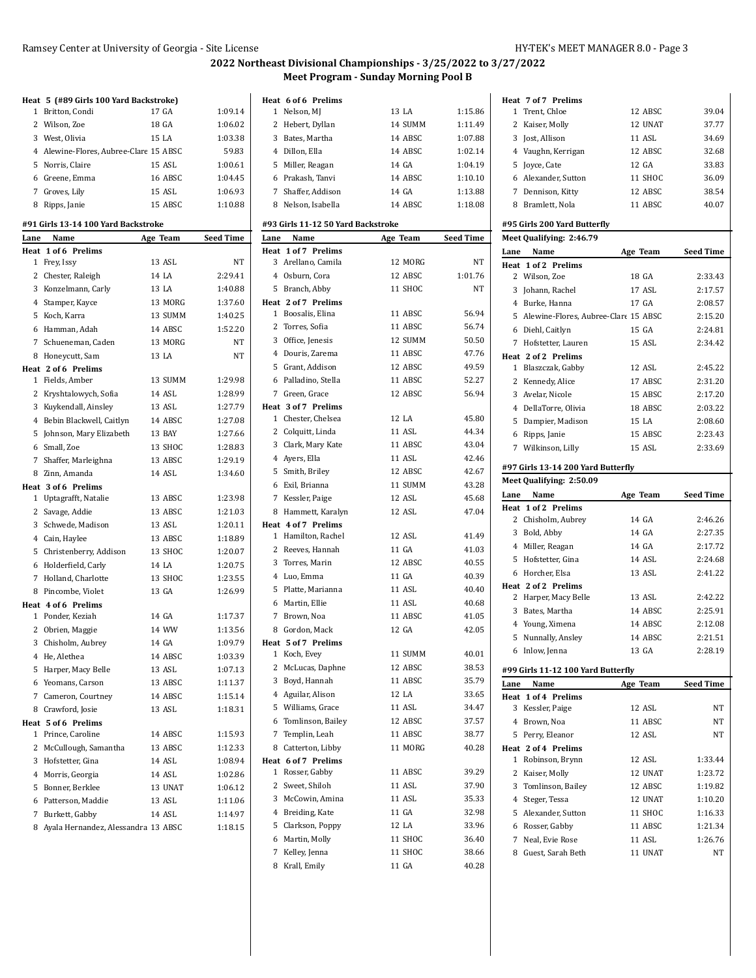|              | Heat 5 (#89 Girls 100 Yard Backstroke)      |                  |                    |
|--------------|---------------------------------------------|------------------|--------------------|
| 1            | Britton, Condi                              | 17 GA            | 1:09.14            |
|              | 2 Wilson, Zoe                               | 18 GA            | 1:06.02            |
|              | 3 West, Olivia                              | 15 LA            | 1:03.38            |
|              | 4 Alewine-Flores, Aubree-Clare 15 ABSC      |                  | 59.83              |
|              | 5 Norris, Claire                            | 15 ASL           | 1:00.61            |
|              | 6 Greene, Emma                              | 16 ABSC          | 1:04.45            |
|              | 7 Groves, Lily                              | 15 ASL           | 1:06.93            |
|              | 8 Ripps, Janie                              | 15 ABSC          | 1:10.88            |
|              |                                             |                  |                    |
|              | #91 Girls 13-14 100 Yard Backstroke<br>Name |                  |                    |
| Lane<br>Heat | 1 of 6 Prelims                              | Age Team         | <b>Seed Time</b>   |
| 1            | Frey, Issy                                  | 13 ASL           | NT                 |
|              | 2 Chester, Raleigh                          | 14 LA            | 2:29.41            |
|              | 3 Konzelmann, Carly                         | 13 LA            | 1:40.88            |
|              | 4 Stamper, Kayce                            | 13 MORG          | 1:37.60            |
|              | 5 Koch, Karra                               | 13 SUMM          | 1:40.25            |
|              | 6 Hamman, Adah                              | 14 ABSC          | 1:52.20            |
|              | 7 Schueneman, Caden                         | 13 MORG          | NT                 |
|              | 8 Honeycutt, Sam                            | 13 LA            | NT                 |
|              | Heat 2 of 6 Prelims                         |                  |                    |
|              | 1 Fields, Amber                             | 13 SUMM          | 1:29.98            |
|              | 2 Kryshtalowych, Sofia                      | 14 ASL           | 1:28.99            |
|              | 3 Kuykendall, Ainsley                       | 13 ASL           | 1:27.79            |
|              | 4 Bebin Blackwell, Caitlyn                  | 14 ABSC          | 1:27.08            |
|              | 5 Johnson, Mary Elizabeth                   | 13 BAY           | 1:27.66            |
|              | 6 Small, Zoe                                | 13 SHOC          | 1:28.83            |
|              | 7 Shaffer, Marleighna                       | 13 ABSC          | 1:29.19            |
|              | 8 Zinn, Amanda                              | 14 ASL           | 1:34.60            |
|              | Heat 3 of 6 Prelims                         |                  |                    |
|              | 1 Uptagrafft, Natalie                       | 13 ABSC          | 1:23.98            |
|              | 2 Savage, Addie                             | 13 ABSC          | 1:21.03            |
|              | 3 Schwede, Madison                          | 13 ASL           | 1:20.11            |
|              | 4 Cain, Haylee                              | 13 ABSC          | 1:18.89            |
|              | 5 Christenberry, Addison                    | 13 SHOC          | 1:20.07            |
|              | 6 Holderfield, Carly                        | 14 LA            | 1:20.75            |
|              | 7 Holland, Charlotte                        | 13 SHOC          | 1:23.55            |
|              | 8 Pincombe, Violet                          | 13 GA            | 1:26.99            |
|              | Heat 4 of 6 Prelims                         |                  |                    |
|              | 1 Ponder, Keziah                            | 14 GA            | 1:17.37            |
|              | 2 Obrien, Maggie                            | 14 WW            | 1:13.56            |
|              | 3 Chisholm, Aubrey                          | 14 GA            | 1:09.79            |
|              | 4 He, Alethea                               | 14 ABSC          | 1:03.39            |
|              | 5 Harper, Macy Belle                        | 13 ASL           | 1:07.13            |
|              | 6 Yeomans, Carson                           | 13 ABSC          | 1:11.37            |
|              | 7 Cameron, Courtney                         | 14 ABSC          | 1:15.14            |
|              | 8 Crawford, Josie                           | 13 ASL           | 1:18.31            |
|              | Heat 5 of 6 Prelims                         |                  |                    |
| 1            | Prince, Caroline                            | 14 ABSC          | 1:15.93            |
|              | 2 McCullough, Samantha                      | 13 ABSC          | 1:12.33            |
|              | 3 Hofstetter, Gina                          | 14 ASL<br>14 ASL | 1:08.94<br>1:02.86 |
|              | 4 Morris, Georgia                           | 13 UNAT          | 1:06.12            |
|              | 5 Bonner, Berklee                           | 13 ASL           |                    |
|              | 6 Patterson, Maddie                         |                  | 1:11.06            |
| 7            | Burkett, Gabby                              | 14 ASL           | 1:14.97            |
| 8            | Ayala Hernandez, Alessandra 13 ABSC         |                  | 1:18.15            |

| Heat 6 of 6 Prelims                    |          |                  |
|----------------------------------------|----------|------------------|
| 1<br>Nelson, MJ                        | 13 LA    | 1:15.86          |
| 2<br>Hebert, Dyllan                    | 14 SUMM  | 1:11.49          |
| 3 Bates, Martha                        | 14 ABSC  | 1:07.88          |
| 4 Dillon, Ella                         | 14 ABSC  | 1:02.14          |
| 5<br>Miller, Reagan                    | 14 GA    | 1:04.19          |
| 6 Prakash, Tanvi                       | 14 ABSC  | 1:10.10          |
| 7 Shaffer, Addison                     | 14 GA    | 1:13.88          |
| 8 Nelson, Isabella                     | 14 ABSC  | 1:18.08          |
| #93 Girls 11-12 50 Yard Backstroke     |          |                  |
| Name<br>Lane                           | Age Team | <b>Seed Time</b> |
| Heat 1 of 7 Prelims                    |          |                  |
| 3 Arellano, Camila                     | 12 MORG  | NT               |
| 4 Osburn, Cora                         | 12 ABSC  | 1:01.76          |
| 5 Branch, Abby                         | 11 SHOC  | NT               |
| Heat 2 of 7 Prelims                    |          |                  |
| Boosalis, Elina<br>1                   | 11 ABSC  | 56.94            |
| 2 Torres, Sofia                        | 11 ABSC  | 56.74            |
| 3 Office, Jenesis                      | 12 SUMM  | 50.50            |
| 4 Douris, Zarema                       | 11 ABSC  | 47.76            |
| 5 Grant, Addison                       | 12 ABSC  | 49.59            |
| 6 Palladino, Stella                    | 11 ABSC  | 52.27            |
| 7 Green, Grace                         | 12 ABSC  | 56.94            |
| Heat 3 of 7 Prelims                    |          |                  |
| 1 Chester, Chelsea                     | 12 LA    | 45.80            |
| 2 Colquitt, Linda                      | 11 ASL   | 44.34            |
| 3 Clark, Mary Kate                     | 11 ABSC  | 43.04            |
| 4 Ayers, Ella                          | 11 ASL   | 42.46            |
| 5 Smith, Briley                        | 12 ABSC  | 42.67            |
| 6 Exil, Brianna                        | 11 SUMM  | 43.28            |
| 7 Kessler, Paige                       | 12 ASL   | 45.68            |
| 8 Hammett, Karalyn                     | 12 ASL   | 47.04            |
| Heat 4 of 7 Prelims                    |          |                  |
| Hamilton, Rachel<br>1                  | 12 ASL   | 41.49            |
| 2 Reeves, Hannah                       | 11 GA    | 41.03            |
| 3 Torres, Marin                        | 12 ABSC  | 40.55            |
| 4 Luo, Emma                            | 11 GA    | 40.39            |
| 5 Platte, Marianna                     | 11 ASL   | 40.40            |
| 6 Martin, Ellie                        | 11 ASL   | 40.68            |
| 7 Brown, Noa                           | 11 ABSC  | 41.05            |
| 8 Gordon, Mack                         | 12 GA    | 42.05            |
|                                        |          |                  |
| Heat 5 of 7 Prelims<br>1<br>Koch, Evey | 11 SUMM  | 40.01            |
| 2<br>McLucas, Daphne                   | 12 ABSC  | 38.53            |
| Boyd, Hannah                           | 11 ABSC  |                  |
| 3                                      |          | 35.79            |
| 4 Aguilar, Alison                      | 12 LA    | 33.65            |
| 5 Williams, Grace                      | 11 ASL   | 34.47            |
| 6<br>Tomlinson, Bailey                 | 12 ABSC  | 37.57            |
| 7<br>Templin, Leah                     | 11 ABSC  | 38.77            |
| 8<br>Catterton, Libby                  | 11 MORG  | 40.28            |
| Heat 6 of 7 Prelims                    |          |                  |
| 1<br>Rosser, Gabby                     | 11 ABSC  | 39.29            |
| Sweet, Shiloh<br>2                     | 11 ASL   | 37.90            |
| 3<br>McCowin, Amina                    | 11 ASL   | 35.33            |
| 4 Breiding, Kate                       | 11 GA    | 32.98            |
| 5<br>Clarkson, Poppy                   | 12 LA    | 33.96            |
| 6<br>Martin, Molly                     | 11 SHOC  | 36.40            |
| 7<br>Kelley, Jenna                     | 11 SHOC  | 38.66            |
| Krall, Emily<br>8                      | 11 GA    | 40.28            |

|      | Heat 7 of 7 Prelims                      |                   |                  |
|------|------------------------------------------|-------------------|------------------|
|      | 1 Trent, Chloe                           | 12 ABSC           | 39.04            |
|      | 2 Kaiser, Molly                          | 12 UNAT           | 37.77            |
|      | 3 Jost, Allison                          | 11 ASL            | 34.69            |
|      | 4 Vaughn, Kerrigan                       | 12 ABSC           | 32.68            |
|      | 5 Joyce, Cate                            | 12 GA             | 33.83            |
|      | 6 Alexander, Sutton                      | 11 SHOC           | 36.09            |
|      | 7 Dennison, Kitty                        | 12 ABSC           | 38.54            |
|      | 8 Bramlett, Nola                         | 11 ABSC           | 40.07            |
|      |                                          |                   |                  |
|      | #95 Girls 200 Yard Butterfly             |                   |                  |
|      | Meet Qualifying: 2:46.79                 |                   |                  |
| Lane | Name                                     | Age Team          | <b>Seed Time</b> |
|      | Heat 1 of 2 Prelims                      |                   |                  |
|      | 2 Wilson, Zoe                            | 18 GA             | 2:33.43          |
|      | 3 Johann, Rachel                         | 17 ASL            | 2:17.57          |
|      | 4 Burke, Hanna                           | 17 GA             | 2:08.57          |
|      | 5 Alewine-Flores, Aubree-Clare 15 ABSC   |                   | 2:15.20          |
|      | 6 Diehl, Caitlyn                         | 15 GA             | 2:24.81          |
|      | 7 Hofstetter, Lauren                     | 15 ASL            | 2:34.42          |
|      | Heat 2 of 2 Prelims                      |                   |                  |
|      | 1 Blaszczak, Gabby                       | 12 ASL            | 2:45.22          |
|      | 2 Kennedy, Alice                         | 17 ABSC           | 2:31.20          |
|      | 3 Avelar, Nicole                         | 15 ABSC           | 2:17.20          |
|      | 4 DellaTorre, Olivia                     | 18 ABSC           | 2:03.22          |
|      | 5 Dampier, Madison                       | 15 LA             | 2:08.60          |
|      | 6 Ripps, Janie                           | 15 ABSC           | 2:23.43          |
|      | 7 Wilkinson, Lilly                       | 15 ASL            | 2:33.69          |
|      |                                          |                   |                  |
|      | #97 Girls 13-14 200 Yard Butterfly       |                   |                  |
|      |                                          |                   |                  |
|      | <b>Meet Qualifying: 2:50.09</b>          |                   |                  |
|      | Lane Name                                | Age Team          | <b>Seed Time</b> |
|      | Heat 1 of 2 Prelims                      |                   |                  |
|      | 2 Chisholm, Aubrey                       | 14 GA             | 2:46.26          |
|      | 3 Bold, Abby                             | 14 GA             | 2:27.35          |
|      | 4 Miller, Reagan                         | 14 GA             | 2:17.72          |
|      | 5 Hofstetter, Gina                       | 14 ASL            | 2:24.68          |
|      | 6 Horcher, Elsa                          | 13 ASL            | 2:41.22          |
|      | Heat 2 of 2 Prelims                      |                   |                  |
|      | 2 Harper, Macy Belle                     | 13 ASL            | 2:42.22          |
| 3    | Bates, Martha                            | 14 ABSC           | 2:25.91          |
|      | 4 Young, Ximena                          | 14 ABSC           | 2:12.08          |
|      | 5 Nunnally, Ansley                       | 14 ABSC           | 2:21.51          |
|      | 6 Inlow, Jenna                           | 13 GA             | 2:28.19          |
|      |                                          |                   |                  |
|      | #99 Girls 11-12 100 Yard Butterfly       |                   |                  |
|      | Name                                     | Age Team          | <b>Seed Time</b> |
| 3    | Heat 1 of 4 Prelims<br>Kessler, Paige    | 12 ASL            | NΤ               |
|      |                                          | 11 ABSC           |                  |
|      | 4 Brown, Noa                             |                   | NT               |
| 5    | Perry, Eleanor<br>Heat 2 of 4 Prelims    | 12 ASL            | NΤ               |
| 1    | Robinson, Brynn                          | 12 ASL            | 1:33.44          |
| 2    |                                          | 12 UNAT           | 1:23.72          |
|      | Kaiser, Molly                            |                   |                  |
|      | 3 Tomlinson, Bailey                      | 12 ABSC           | 1:19.82          |
| Lane | 4 Steger, Tessa                          | 12 UNAT           | 1:10.20          |
|      | 5 Alexander, Sutton                      | 11 SHOC           | 1:16.33          |
|      | 6 Rosser, Gabby                          | 11 ABSC           | 1:21.34          |
|      | 7 Neal, Evie Rose<br>8 Guest, Sarah Beth | 11 ASL<br>11 UNAT | 1:26.76<br>NΤ    |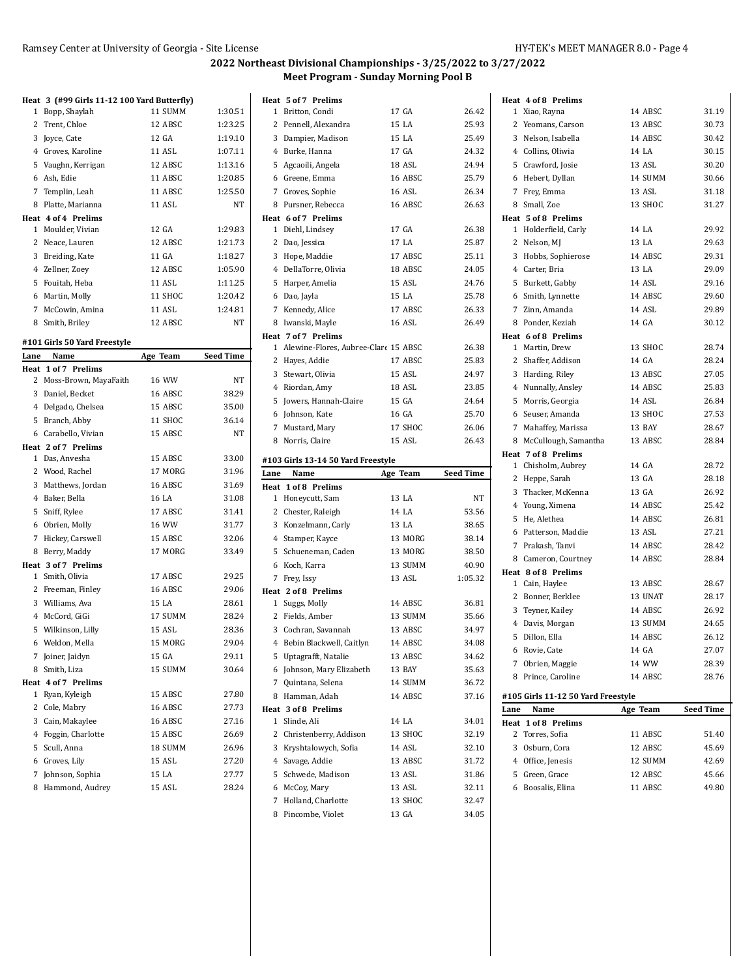#### **Heat 3 (#99 Girls 11-12 100 Yard Butterfly)**

|              | ncat <i>o</i> (")) anis 11 12 100 iaiu batteiny i |         |         |
|--------------|---------------------------------------------------|---------|---------|
| $\mathbf{1}$ | Bopp, Shaylah                                     | 11 SUMM | 1:30.51 |
|              | 2 Trent, Chloe                                    | 12 ABSC | 1:23.25 |
| 3            | Joyce, Cate                                       | 12 GA   | 1:19.10 |
|              | 4 Groves, Karoline                                | 11 ASL  | 1:07.11 |
|              | 5 Vaughn, Kerrigan                                | 12 ABSC | 1:13.16 |
|              | 6 Ash, Edie                                       | 11 ABSC | 1:20.85 |
|              | 7 Templin, Leah                                   | 11 ABSC | 1:25.50 |
| 8            | Platte, Marianna                                  | 11 ASL  | NT      |
|              | Heat 4 of 4 Prelims                               |         |         |
| 1            | Moulder, Vivian                                   | 12 GA   | 1:29.83 |
|              | 2 Neace, Lauren                                   | 12 ABSC | 1:21.73 |
| 3            | Breiding, Kate                                    | 11 GA   | 1:18.27 |
|              | 4 Zellner, Zoey                                   | 12 ABSC | 1:05.90 |
| 5            | Fouitah, Heba                                     | 11 ASL  | 1:11.25 |
| 6            | Martin, Molly                                     | 11 SHOC | 1:20.42 |
| 7            | McCowin, Amina                                    | 11 ASL  | 1:24.81 |
|              | 8 Smith, Briley                                   | 12 ABSC | NT      |

#### **#101 Girls 50 Yard Freestyle**

| Lane         | Name                  | Age Team       | <b>Seed Time</b> |
|--------------|-----------------------|----------------|------------------|
|              | Heat 1 of 7 Prelims   |                |                  |
| $\mathbf{2}$ | Moss-Brown, MayaFaith | 16 WW          | NT               |
|              | 3 Daniel, Becket      | 16 ABSC        | 38.29            |
|              | 4 Delgado, Chelsea    | 15 ABSC        | 35.00            |
| 5            | Branch, Abby          | 11 SHOC        | 36.14            |
| 6            | Carabello, Vivian     | 15 ABSC        | NT               |
|              | Heat 2 of 7 Prelims   |                |                  |
| $\mathbf{1}$ | Das, Anvesha          | 15 ABSC        | 33.00            |
|              | 2 Wood, Rachel        | 17 MORG        | 31.96            |
| 3            | Matthews, Jordan      | 16 ABSC        | 31.69            |
|              | 4 Baker, Bella        | 16 LA          | 31.08            |
| 5            | Sniff, Rylee          | 17 ABSC        | 31.41            |
|              | 6 Obrien, Molly       | 16 WW          | 31.77            |
| 7            | Hickey, Carswell      | 15 ABSC        | 32.06            |
| 8            | Berry, Maddy          | 17 MORG        | 33.49            |
|              | Heat 3 of 7 Prelims   |                |                  |
| $\mathbf{1}$ | Smith, Olivia         | 17 ABSC        | 29.25            |
|              | 2 Freeman, Finley     | <b>16 ABSC</b> | 29.06            |
|              | 3 Williams, Ava       | 15 LA          | 28.61            |
|              | 4 McCord, GiGi        | 17 SUMM        | 28.24            |
| 5            | Wilkinson, Lilly      | 15 ASL         | 28.36            |
|              | 6 Weldon, Mella       | 15 MORG        | 29.04            |
| 7            | Joiner, Jaidyn        | 15 GA          | 29.11            |
| 8            | Smith, Liza           | 15 SUMM        | 30.64            |
|              | Heat 4 of 7 Prelims   |                |                  |
| 1            | Ryan, Kyleigh         | 15 ABSC        | 27.80            |
|              | 2 Cole, Mabry         | 16 ABSC        | 27.73            |
|              | 3 Cain, Makaylee      | 16 ABSC        | 27.16            |
| 4            | Foggin, Charlotte     | 15 ABSC        | 26.69            |
| 5            | Scull, Anna           | 18 SUMM        | 26.96            |
|              | 6 Groves, Lily        | 15 ASL         | 27.20            |
| 7            | Johnson, Sophia       | 15 LA          | 27.77            |
| 8            | Hammond, Audrey       | 15 ASL         | 28.24            |

| 1 Britton, Condi<br>17 GA<br>2 Pennell, Alexandra<br>15 LA<br>3 Dampier, Madison<br>15 LA<br>17 GA<br>4 Burke, Hanna<br>5 Agcaoili, Angela<br>18 ASL<br>16 ABSC<br>6 Greene, Emma<br>7 Groves, Sophie<br>16 ASL<br>16 ABSC<br>8 Pursner, Rebecca<br>Heat 6 of 7 Prelims<br>17 GA<br>1 Diehl, Lindsey<br>17 LA<br>2 Dao, Jessica<br>17 ABSC<br>3 Hope, Maddie<br>4 DellaTorre, Olivia<br>18 ABSC<br>15 ASL<br>5 Harper, Amelia<br>15 LA<br>6 Dao, Jayla<br>7 Kennedy, Alice<br>17 ABSC<br>26.33<br>8 Iwanski, Mayle<br><b>16 ASL</b><br>26.49<br>Heat 7 of 7 Prelims<br>1 Alewine-Flores, Aubree-Clare 15 ABSC<br>2 Hayes, Addie<br>17 ABSC<br>3 Stewart, Olivia<br>15 ASL<br>24.97<br>18 ASL<br>23.85<br>4 Riordan, Amy<br>5 Jowers, Hannah-Claire<br>15 GA<br>24.64<br>16 GA<br>25.70<br>6 Johnson, Kate<br>17 SHOC<br>26.06<br>7 Mustard, Mary<br>8 Norris, Claire<br>15 ASL<br>26.43<br>#103 Girls 13-14 50 Yard Freestyle<br>Lane<br>Name<br>Age Team<br>Heat 1 of 8 Prelims<br>1 Honeycutt, Sam<br>13 LA<br>14 LA<br>2 Chester, Raleigh<br>13 LA<br>3 Konzelmann, Carly<br>4 Stamper, Kayce<br>13 MORG<br>13 MORG<br>5 Schueneman, Caden<br>13 SUMM<br>6 Koch, Karra<br>7 Frey, Issy<br>13 ASL<br>Heat 2 of 8 Prelims<br>1 Suggs, Molly<br>14 ABSC<br>2 Fields, Amber<br>13 SUMM<br>13 ABSC<br>3 Cochran, Savannah<br>4 Bebin Blackwell, Caitlyn<br>14 ABSC<br>Uptagrafft, Natalie<br>13 ABSC<br>5<br>Johnson, Mary Elizabeth<br>13 BAY<br>6<br>$7^{\circ}$<br>Quintana, Selena<br>14 SUMM<br>8 Hamman, Adah<br>14 ABSC<br>Heat 3 of 8 Prelims<br>14 LA<br>Slinde, Ali<br>1<br>Christenberry, Addison<br>13 SHOC<br>2<br>3<br>14 ASL<br>Kryshtalowych, Sofia<br>4 Savage, Addie<br>13 ABSC<br>13 ASL<br>5 Schwede, Madison<br>13 ASL<br>6<br>McCoy, Mary<br>7<br>Holland, Charlotte<br>13 SHOC<br>Pincombe, Violet<br>13 GA<br>8<br>34.05 | Heat 5 of 7 Prelims |                  |
|------------------------------------------------------------------------------------------------------------------------------------------------------------------------------------------------------------------------------------------------------------------------------------------------------------------------------------------------------------------------------------------------------------------------------------------------------------------------------------------------------------------------------------------------------------------------------------------------------------------------------------------------------------------------------------------------------------------------------------------------------------------------------------------------------------------------------------------------------------------------------------------------------------------------------------------------------------------------------------------------------------------------------------------------------------------------------------------------------------------------------------------------------------------------------------------------------------------------------------------------------------------------------------------------------------------------------------------------------------------------------------------------------------------------------------------------------------------------------------------------------------------------------------------------------------------------------------------------------------------------------------------------------------------------------------------------------------------------------------------------------------------------------------------------------------------------------------------------|---------------------|------------------|
|                                                                                                                                                                                                                                                                                                                                                                                                                                                                                                                                                                                                                                                                                                                                                                                                                                                                                                                                                                                                                                                                                                                                                                                                                                                                                                                                                                                                                                                                                                                                                                                                                                                                                                                                                                                                                                                |                     | 26.42            |
|                                                                                                                                                                                                                                                                                                                                                                                                                                                                                                                                                                                                                                                                                                                                                                                                                                                                                                                                                                                                                                                                                                                                                                                                                                                                                                                                                                                                                                                                                                                                                                                                                                                                                                                                                                                                                                                |                     | 25.93            |
|                                                                                                                                                                                                                                                                                                                                                                                                                                                                                                                                                                                                                                                                                                                                                                                                                                                                                                                                                                                                                                                                                                                                                                                                                                                                                                                                                                                                                                                                                                                                                                                                                                                                                                                                                                                                                                                |                     | 25.49            |
|                                                                                                                                                                                                                                                                                                                                                                                                                                                                                                                                                                                                                                                                                                                                                                                                                                                                                                                                                                                                                                                                                                                                                                                                                                                                                                                                                                                                                                                                                                                                                                                                                                                                                                                                                                                                                                                |                     | 24.32            |
|                                                                                                                                                                                                                                                                                                                                                                                                                                                                                                                                                                                                                                                                                                                                                                                                                                                                                                                                                                                                                                                                                                                                                                                                                                                                                                                                                                                                                                                                                                                                                                                                                                                                                                                                                                                                                                                |                     | 24.94            |
|                                                                                                                                                                                                                                                                                                                                                                                                                                                                                                                                                                                                                                                                                                                                                                                                                                                                                                                                                                                                                                                                                                                                                                                                                                                                                                                                                                                                                                                                                                                                                                                                                                                                                                                                                                                                                                                |                     | 25.79            |
|                                                                                                                                                                                                                                                                                                                                                                                                                                                                                                                                                                                                                                                                                                                                                                                                                                                                                                                                                                                                                                                                                                                                                                                                                                                                                                                                                                                                                                                                                                                                                                                                                                                                                                                                                                                                                                                |                     | 26.34            |
|                                                                                                                                                                                                                                                                                                                                                                                                                                                                                                                                                                                                                                                                                                                                                                                                                                                                                                                                                                                                                                                                                                                                                                                                                                                                                                                                                                                                                                                                                                                                                                                                                                                                                                                                                                                                                                                |                     | 26.63            |
|                                                                                                                                                                                                                                                                                                                                                                                                                                                                                                                                                                                                                                                                                                                                                                                                                                                                                                                                                                                                                                                                                                                                                                                                                                                                                                                                                                                                                                                                                                                                                                                                                                                                                                                                                                                                                                                |                     |                  |
|                                                                                                                                                                                                                                                                                                                                                                                                                                                                                                                                                                                                                                                                                                                                                                                                                                                                                                                                                                                                                                                                                                                                                                                                                                                                                                                                                                                                                                                                                                                                                                                                                                                                                                                                                                                                                                                |                     | 26.38            |
|                                                                                                                                                                                                                                                                                                                                                                                                                                                                                                                                                                                                                                                                                                                                                                                                                                                                                                                                                                                                                                                                                                                                                                                                                                                                                                                                                                                                                                                                                                                                                                                                                                                                                                                                                                                                                                                |                     | 25.87            |
|                                                                                                                                                                                                                                                                                                                                                                                                                                                                                                                                                                                                                                                                                                                                                                                                                                                                                                                                                                                                                                                                                                                                                                                                                                                                                                                                                                                                                                                                                                                                                                                                                                                                                                                                                                                                                                                |                     | 25.11            |
|                                                                                                                                                                                                                                                                                                                                                                                                                                                                                                                                                                                                                                                                                                                                                                                                                                                                                                                                                                                                                                                                                                                                                                                                                                                                                                                                                                                                                                                                                                                                                                                                                                                                                                                                                                                                                                                |                     | 24.05            |
|                                                                                                                                                                                                                                                                                                                                                                                                                                                                                                                                                                                                                                                                                                                                                                                                                                                                                                                                                                                                                                                                                                                                                                                                                                                                                                                                                                                                                                                                                                                                                                                                                                                                                                                                                                                                                                                |                     | 24.76            |
|                                                                                                                                                                                                                                                                                                                                                                                                                                                                                                                                                                                                                                                                                                                                                                                                                                                                                                                                                                                                                                                                                                                                                                                                                                                                                                                                                                                                                                                                                                                                                                                                                                                                                                                                                                                                                                                |                     | 25.78            |
|                                                                                                                                                                                                                                                                                                                                                                                                                                                                                                                                                                                                                                                                                                                                                                                                                                                                                                                                                                                                                                                                                                                                                                                                                                                                                                                                                                                                                                                                                                                                                                                                                                                                                                                                                                                                                                                |                     |                  |
|                                                                                                                                                                                                                                                                                                                                                                                                                                                                                                                                                                                                                                                                                                                                                                                                                                                                                                                                                                                                                                                                                                                                                                                                                                                                                                                                                                                                                                                                                                                                                                                                                                                                                                                                                                                                                                                |                     |                  |
|                                                                                                                                                                                                                                                                                                                                                                                                                                                                                                                                                                                                                                                                                                                                                                                                                                                                                                                                                                                                                                                                                                                                                                                                                                                                                                                                                                                                                                                                                                                                                                                                                                                                                                                                                                                                                                                |                     |                  |
|                                                                                                                                                                                                                                                                                                                                                                                                                                                                                                                                                                                                                                                                                                                                                                                                                                                                                                                                                                                                                                                                                                                                                                                                                                                                                                                                                                                                                                                                                                                                                                                                                                                                                                                                                                                                                                                |                     | 26.38            |
|                                                                                                                                                                                                                                                                                                                                                                                                                                                                                                                                                                                                                                                                                                                                                                                                                                                                                                                                                                                                                                                                                                                                                                                                                                                                                                                                                                                                                                                                                                                                                                                                                                                                                                                                                                                                                                                |                     | 25.83            |
|                                                                                                                                                                                                                                                                                                                                                                                                                                                                                                                                                                                                                                                                                                                                                                                                                                                                                                                                                                                                                                                                                                                                                                                                                                                                                                                                                                                                                                                                                                                                                                                                                                                                                                                                                                                                                                                |                     |                  |
|                                                                                                                                                                                                                                                                                                                                                                                                                                                                                                                                                                                                                                                                                                                                                                                                                                                                                                                                                                                                                                                                                                                                                                                                                                                                                                                                                                                                                                                                                                                                                                                                                                                                                                                                                                                                                                                |                     |                  |
|                                                                                                                                                                                                                                                                                                                                                                                                                                                                                                                                                                                                                                                                                                                                                                                                                                                                                                                                                                                                                                                                                                                                                                                                                                                                                                                                                                                                                                                                                                                                                                                                                                                                                                                                                                                                                                                |                     |                  |
|                                                                                                                                                                                                                                                                                                                                                                                                                                                                                                                                                                                                                                                                                                                                                                                                                                                                                                                                                                                                                                                                                                                                                                                                                                                                                                                                                                                                                                                                                                                                                                                                                                                                                                                                                                                                                                                |                     |                  |
|                                                                                                                                                                                                                                                                                                                                                                                                                                                                                                                                                                                                                                                                                                                                                                                                                                                                                                                                                                                                                                                                                                                                                                                                                                                                                                                                                                                                                                                                                                                                                                                                                                                                                                                                                                                                                                                |                     |                  |
|                                                                                                                                                                                                                                                                                                                                                                                                                                                                                                                                                                                                                                                                                                                                                                                                                                                                                                                                                                                                                                                                                                                                                                                                                                                                                                                                                                                                                                                                                                                                                                                                                                                                                                                                                                                                                                                |                     |                  |
|                                                                                                                                                                                                                                                                                                                                                                                                                                                                                                                                                                                                                                                                                                                                                                                                                                                                                                                                                                                                                                                                                                                                                                                                                                                                                                                                                                                                                                                                                                                                                                                                                                                                                                                                                                                                                                                |                     |                  |
|                                                                                                                                                                                                                                                                                                                                                                                                                                                                                                                                                                                                                                                                                                                                                                                                                                                                                                                                                                                                                                                                                                                                                                                                                                                                                                                                                                                                                                                                                                                                                                                                                                                                                                                                                                                                                                                |                     |                  |
|                                                                                                                                                                                                                                                                                                                                                                                                                                                                                                                                                                                                                                                                                                                                                                                                                                                                                                                                                                                                                                                                                                                                                                                                                                                                                                                                                                                                                                                                                                                                                                                                                                                                                                                                                                                                                                                |                     |                  |
|                                                                                                                                                                                                                                                                                                                                                                                                                                                                                                                                                                                                                                                                                                                                                                                                                                                                                                                                                                                                                                                                                                                                                                                                                                                                                                                                                                                                                                                                                                                                                                                                                                                                                                                                                                                                                                                |                     | <b>Seed Time</b> |
|                                                                                                                                                                                                                                                                                                                                                                                                                                                                                                                                                                                                                                                                                                                                                                                                                                                                                                                                                                                                                                                                                                                                                                                                                                                                                                                                                                                                                                                                                                                                                                                                                                                                                                                                                                                                                                                |                     |                  |
|                                                                                                                                                                                                                                                                                                                                                                                                                                                                                                                                                                                                                                                                                                                                                                                                                                                                                                                                                                                                                                                                                                                                                                                                                                                                                                                                                                                                                                                                                                                                                                                                                                                                                                                                                                                                                                                |                     | NT               |
|                                                                                                                                                                                                                                                                                                                                                                                                                                                                                                                                                                                                                                                                                                                                                                                                                                                                                                                                                                                                                                                                                                                                                                                                                                                                                                                                                                                                                                                                                                                                                                                                                                                                                                                                                                                                                                                |                     | 53.56            |
|                                                                                                                                                                                                                                                                                                                                                                                                                                                                                                                                                                                                                                                                                                                                                                                                                                                                                                                                                                                                                                                                                                                                                                                                                                                                                                                                                                                                                                                                                                                                                                                                                                                                                                                                                                                                                                                |                     | 38.65            |
|                                                                                                                                                                                                                                                                                                                                                                                                                                                                                                                                                                                                                                                                                                                                                                                                                                                                                                                                                                                                                                                                                                                                                                                                                                                                                                                                                                                                                                                                                                                                                                                                                                                                                                                                                                                                                                                |                     | 38.14            |
|                                                                                                                                                                                                                                                                                                                                                                                                                                                                                                                                                                                                                                                                                                                                                                                                                                                                                                                                                                                                                                                                                                                                                                                                                                                                                                                                                                                                                                                                                                                                                                                                                                                                                                                                                                                                                                                |                     | 38.50            |
|                                                                                                                                                                                                                                                                                                                                                                                                                                                                                                                                                                                                                                                                                                                                                                                                                                                                                                                                                                                                                                                                                                                                                                                                                                                                                                                                                                                                                                                                                                                                                                                                                                                                                                                                                                                                                                                |                     | 40.90            |
|                                                                                                                                                                                                                                                                                                                                                                                                                                                                                                                                                                                                                                                                                                                                                                                                                                                                                                                                                                                                                                                                                                                                                                                                                                                                                                                                                                                                                                                                                                                                                                                                                                                                                                                                                                                                                                                |                     | 1:05.32          |
|                                                                                                                                                                                                                                                                                                                                                                                                                                                                                                                                                                                                                                                                                                                                                                                                                                                                                                                                                                                                                                                                                                                                                                                                                                                                                                                                                                                                                                                                                                                                                                                                                                                                                                                                                                                                                                                |                     |                  |
|                                                                                                                                                                                                                                                                                                                                                                                                                                                                                                                                                                                                                                                                                                                                                                                                                                                                                                                                                                                                                                                                                                                                                                                                                                                                                                                                                                                                                                                                                                                                                                                                                                                                                                                                                                                                                                                |                     | 36.81            |
|                                                                                                                                                                                                                                                                                                                                                                                                                                                                                                                                                                                                                                                                                                                                                                                                                                                                                                                                                                                                                                                                                                                                                                                                                                                                                                                                                                                                                                                                                                                                                                                                                                                                                                                                                                                                                                                |                     | 35.66            |
|                                                                                                                                                                                                                                                                                                                                                                                                                                                                                                                                                                                                                                                                                                                                                                                                                                                                                                                                                                                                                                                                                                                                                                                                                                                                                                                                                                                                                                                                                                                                                                                                                                                                                                                                                                                                                                                |                     | 34.97            |
|                                                                                                                                                                                                                                                                                                                                                                                                                                                                                                                                                                                                                                                                                                                                                                                                                                                                                                                                                                                                                                                                                                                                                                                                                                                                                                                                                                                                                                                                                                                                                                                                                                                                                                                                                                                                                                                |                     | 34.08            |
|                                                                                                                                                                                                                                                                                                                                                                                                                                                                                                                                                                                                                                                                                                                                                                                                                                                                                                                                                                                                                                                                                                                                                                                                                                                                                                                                                                                                                                                                                                                                                                                                                                                                                                                                                                                                                                                |                     | 34.62            |
|                                                                                                                                                                                                                                                                                                                                                                                                                                                                                                                                                                                                                                                                                                                                                                                                                                                                                                                                                                                                                                                                                                                                                                                                                                                                                                                                                                                                                                                                                                                                                                                                                                                                                                                                                                                                                                                |                     | 35.63            |
|                                                                                                                                                                                                                                                                                                                                                                                                                                                                                                                                                                                                                                                                                                                                                                                                                                                                                                                                                                                                                                                                                                                                                                                                                                                                                                                                                                                                                                                                                                                                                                                                                                                                                                                                                                                                                                                |                     | 36.72            |
|                                                                                                                                                                                                                                                                                                                                                                                                                                                                                                                                                                                                                                                                                                                                                                                                                                                                                                                                                                                                                                                                                                                                                                                                                                                                                                                                                                                                                                                                                                                                                                                                                                                                                                                                                                                                                                                |                     | 37.16            |
|                                                                                                                                                                                                                                                                                                                                                                                                                                                                                                                                                                                                                                                                                                                                                                                                                                                                                                                                                                                                                                                                                                                                                                                                                                                                                                                                                                                                                                                                                                                                                                                                                                                                                                                                                                                                                                                |                     |                  |
|                                                                                                                                                                                                                                                                                                                                                                                                                                                                                                                                                                                                                                                                                                                                                                                                                                                                                                                                                                                                                                                                                                                                                                                                                                                                                                                                                                                                                                                                                                                                                                                                                                                                                                                                                                                                                                                |                     | 34.01            |
|                                                                                                                                                                                                                                                                                                                                                                                                                                                                                                                                                                                                                                                                                                                                                                                                                                                                                                                                                                                                                                                                                                                                                                                                                                                                                                                                                                                                                                                                                                                                                                                                                                                                                                                                                                                                                                                |                     | 32.19            |
|                                                                                                                                                                                                                                                                                                                                                                                                                                                                                                                                                                                                                                                                                                                                                                                                                                                                                                                                                                                                                                                                                                                                                                                                                                                                                                                                                                                                                                                                                                                                                                                                                                                                                                                                                                                                                                                |                     | 32.10            |
|                                                                                                                                                                                                                                                                                                                                                                                                                                                                                                                                                                                                                                                                                                                                                                                                                                                                                                                                                                                                                                                                                                                                                                                                                                                                                                                                                                                                                                                                                                                                                                                                                                                                                                                                                                                                                                                |                     | 31.72            |
|                                                                                                                                                                                                                                                                                                                                                                                                                                                                                                                                                                                                                                                                                                                                                                                                                                                                                                                                                                                                                                                                                                                                                                                                                                                                                                                                                                                                                                                                                                                                                                                                                                                                                                                                                                                                                                                |                     | 31.86            |
|                                                                                                                                                                                                                                                                                                                                                                                                                                                                                                                                                                                                                                                                                                                                                                                                                                                                                                                                                                                                                                                                                                                                                                                                                                                                                                                                                                                                                                                                                                                                                                                                                                                                                                                                                                                                                                                |                     | 32.11            |
|                                                                                                                                                                                                                                                                                                                                                                                                                                                                                                                                                                                                                                                                                                                                                                                                                                                                                                                                                                                                                                                                                                                                                                                                                                                                                                                                                                                                                                                                                                                                                                                                                                                                                                                                                                                                                                                |                     | 32.47            |

|      | Heat 4 of 8 Prelims                        |                   |                  |
|------|--------------------------------------------|-------------------|------------------|
|      | 1 Xiao, Rayna                              | 14 ABSC           | 31.19            |
|      | 2 Yeomans, Carson                          | 13 ABSC           | 30.73            |
|      | 3 Nelson, Isabella                         | 14 ABSC           | 30.42            |
|      | 4 Collins, Oliwia                          | 14 LA             | 30.15            |
|      | 5 Crawford, Josie                          | 13 ASL            | 30.20            |
|      | 6 Hebert, Dyllan                           | 14 SUMM           | 30.66            |
|      | 7 Frey, Emma                               | 13 ASL            | 31.18            |
|      | 8 Small, Zoe                               | 13 SHOC           | 31.27            |
|      | Heat 5 of 8 Prelims                        |                   |                  |
|      | 1 Holderfield, Carly                       | 14 LA             | 29.92            |
|      | 2 Nelson, MJ                               | 13 LA             | 29.63            |
|      | 3 Hobbs, Sophierose                        | 14 ABSC           | 29.31            |
|      | 4 Carter, Bria                             | 13 LA             | 29.09            |
|      | 5 Burkett, Gabby                           | 14 ASL            | 29.16            |
|      | 6 Smith, Lynnette                          | 14 ABSC           | 29.60            |
|      | 7 Zinn, Amanda                             | 14 ASL            | 29.89            |
|      | 8 Ponder, Keziah                           | 14 GA             | 30.12            |
|      | Heat 6 of 8 Prelims                        |                   |                  |
|      | 1 Martin, Drew                             | 13 SHOC           | 28.74            |
|      | 2 Shaffer, Addison                         | 14 GA             | 28.24            |
|      | 3 Harding, Riley                           | 13 ABSC           | 27.05            |
|      | 4 Nunnally, Ansley                         | 14 ABSC           | 25.83            |
|      | 5 Morris, Georgia                          | 14 ASL            | 26.84            |
|      | 6 Seuser, Amanda                           | 13 SHOC           | 27.53            |
|      | 7 Mahaffey, Marissa                        | 13 BAY            | 28.67            |
|      | 8 McCullough, Samantha                     | 13 ABSC           | 28.84            |
|      | Heat 7 of 8 Prelims<br>1 Chisholm, Aubrey  | 14 GA             | 28.72            |
|      | 2 Heppe, Sarah                             | 13 GA             | 28.18            |
|      | 3 Thacker, McKenna                         | 13 GA             | 26.92            |
|      | 4 Young, Ximena                            | 14 ABSC           | 25.42            |
|      | 5 He, Alethea                              | 14 ABSC           |                  |
|      | 6 Patterson, Maddie                        |                   |                  |
|      |                                            |                   | 26.81            |
|      | 7 Prakash, Tanvi                           | 13 ASL<br>14 ABSC | 27.21<br>28.42   |
|      |                                            | 14 ABSC           | 28.84            |
|      | 8 Cameron, Courtney<br>Heat 8 of 8 Prelims |                   |                  |
|      | 1 Cain, Haylee                             | 13 ABSC           | 28.67            |
|      | 2 Bonner, Berklee                          | 13 UNAT           | 28.17            |
|      | 3 Teyner, Kailey                           | 14 ABSC           | 26.92            |
|      | 4 Davis, Morgan                            | 13 SUMM           | 24.65            |
|      | 5 Dillon, Ella                             | 14 ABSC           | 26.12            |
|      | 6 Rovie, Cate                              | 14 GA             | 27.07            |
| 7    | Obrien, Maggie                             | 14 WW             | 28.39            |
| 8    | Prince, Caroline                           | 14 ABSC           | 28.76            |
|      |                                            |                   |                  |
| Lane | #105 Girls 11-12 50 Yard Freestyle<br>Name | Age Team          | <b>Seed Time</b> |
|      | <b>Heat 1 of 8 Prelims</b>                 |                   |                  |
|      | 2 Torres, Sofia                            | 11 ABSC           | 51.40            |
|      | 3 Osburn, Cora                             | 12 ABSC           | 45.69            |
|      | 4 Office, Jenesis                          | 12 SUMM           | 42.69            |
|      | 5 Green, Grace                             | 12 ABSC           | 45.66            |
|      | 6 Boosalis, Elina                          | 11 ABSC           | 49.80            |